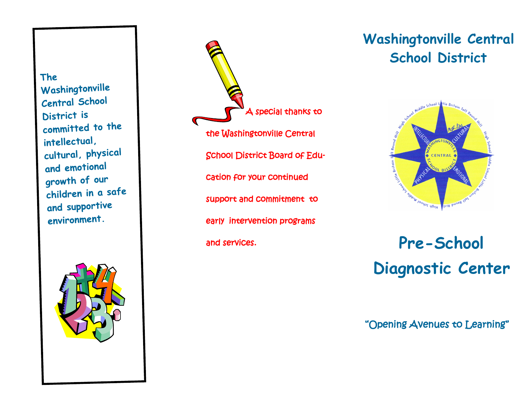The  $\Box$ physical and emotional growth  $p$ Central School District is committed to the intellectual, cultural, physical and emotional growth of our children in a safe and supportive environment.



A special thanks to the Washingtonville Central School District Board of Education for your continued support and commitment to early intervention programs and services. **Pre-School**

## **Washingtonville Central School District**



# **Diagnostic Center**

"Opening Avenues to Learning"